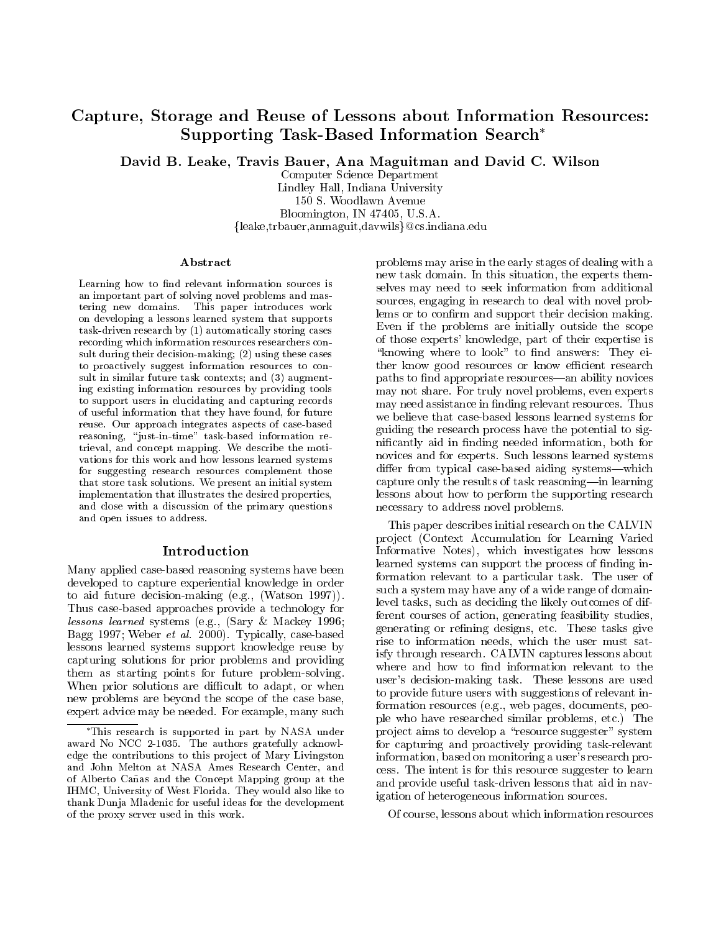# Capture, Storage and Reuse of Lessons about Information Resources: Supporting Task-Based Information Search

David B. Leake, Travis Bauer, Ana Maguitman and David C. Wilson

Computer Science Department Lindley Hall, Indiana University 150 S. Woodlawn Avenue Bloomington, IN 47405, U.S.A.  ${leake, trbauer, an magnitude, davwils}$  @cs.indiana.edu

#### A bstract

Learning how to find relevant information sources is an important part of solving novel problems and mastering new domains. This paper introduces work on developing a lessons learned system that supports task-driven research by (1) automatically storing cases recording which information resources researchers consult during their decision-making; (2) using these cases to proactively suggest information resources to con sult in similar future task contexts; and (3) augmenting existing information resources by providing tools to support users in elucidating and capturing records of useful information that they have found, for future reuse. Our approach integrates aspects of case-based reasoning, "just-in-time" task-based information re-<br>trieval, and concept mapping. We describe the motivations for this work and how lessons learned systems for suggesting research resources complement those that store task solutions. We present an initial system implementation that illustrates the desired properties, and close with a discussion of the primary questions and open issues to address.

#### Introduction

Many applied case-based reasoning systems have been developed to capture experiential knowledge in order to aid future decision-making (e.g., (Watson 1997)). Thus case-based approaches provide a technology for lessons learned systems (e.g., (Sary & Mackey 1996; Bagg 1997; Weber et al. 2000). Typically, case-based lessons learned systems support knowledge reuse by capturing solutions for prior problems and providing them as starting points for future problem-solving. When prior solutions are difficult to adapt, or when new problems are beyond the scope of the case base, expert advice may be needed. For example, many such

problems may arise in the early stages of dealing with a new task domain. In this situation, the experts themselves may need to seek information from additional sources, engaging in research to deal with novel problems or to confirm and support their decision making. Even if the problems are initially outside the scope of those experts' knowledge, part of their expertise is "knowing where to look" to find answers: They either know good resources or know efficient research paths to find appropriate resources—an ability novices may not share. For truly novel problems, even experts may need assistance in finding relevant resources. Thus we believe that case-based lessons learned systems for guiding the research process have the potential to significantly aid in finding needed information, both for novices and for experts. Such lessons learned systems differ from typical case-based aiding systems—which capture only the results of task reasoning—in learning lessons about how to perform the supporting research necessary to address novel problems.

This paper describes initial research on the CALVIN pro ject (Context Accumulation for Learning Varied Informative Notes), which investigates how lessons learned systems can support the process of finding information relevant to a particular task. The user of such a system may have any of a wide range of domainlevel tasks, such as deciding the likely outcomes of different courses of action, generating feasibility studies, generating or refining designs, etc. These tasks give rise to information needs, which the user must satisfy through research. CALVIN captures lessons about where and how to find information relevant to the user's decision-making task. These lessons are used to provide future users with suggestions of relevant information resources (e.g., web pages, documents, people who have researched similar problems, etc.) The project aims to develop a "resource suggester" system for capturing and proactively providing task-relevant information, based on monitoring a user's research process. The intent is for this resource suggester to learn and provide useful task-driven lessons that aid in navigation of heterogeneous information sources.

Of course, lessons about which information resources

This research issupported in part by NASA under award No NCC 2-1035. The authors gratefully acknowledge the contributions to this project of Mary Livingston and John Melton at NASA Ames Research Center, and of Alberto Cañas and the Concept Mapping group at the IHMC, University of West Florida. They would also like to thank Dunja Mladenic for useful ideas for the development of the proxy server used in this work.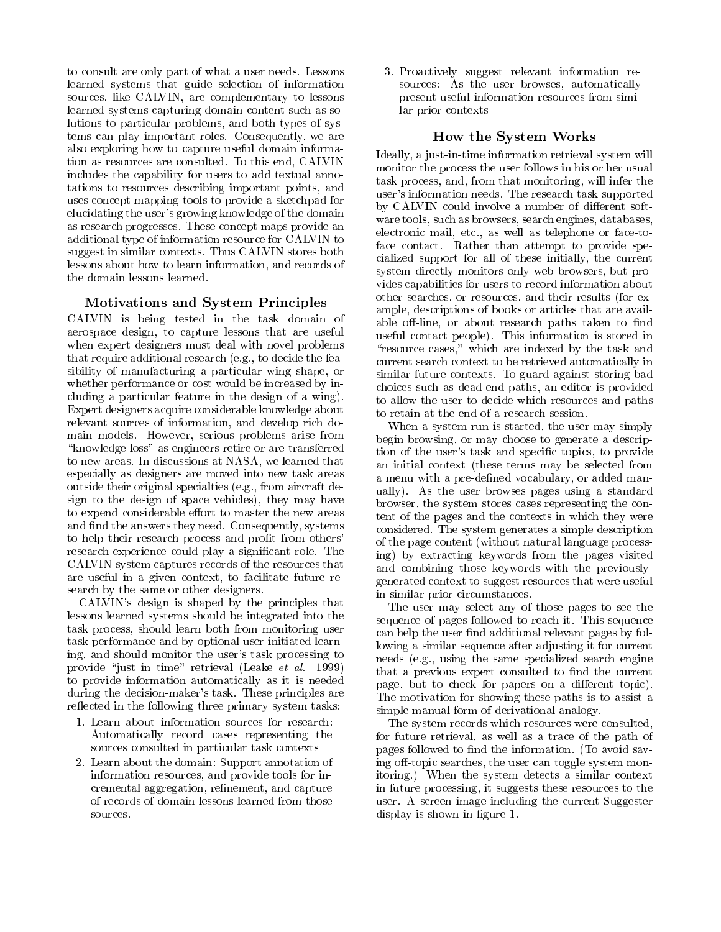to consult are only part of what a user needs. Lessons learned systems that guide selection of information sources, like CALVIN, are complementary to lessons learned systems capturing domain content such as solutions to particular problems, and both types of systems can play important roles. Consequently, we are also exploring how to capture useful domain information as resources are consulted. To this end, CALVIN includes the capability for users to add textual annotations to resources describing important points, and uses concept mapping tools to provide a sketchpad for elucidating the user's growing knowledge of the domain as research progresses. These concept maps provide an additional type of information resource for CALVIN to suggest in similar contexts. Thus CALVIN stores both lessons about how to learn information, and records of the domain lessons learned.

## Motivations and System Principles

CALVIN is being tested in the task domain of aerospace design, to capture lessons that are useful when expert designers must deal with novel problems that require additional research (e.g., to decide the feasibility of manufacturing a particular wing shape, or whether performance or cost would be increased by including a particular feature in the design of a wing). Expert designers acquire considerable knowledge about relevant sources of information, and develop rich domain models. However, serious problems arise from "knowledge loss" as engineers retire or are transferred to new areas. In discussions at NASA, we learned that especially as designers are moved into new task areas outside their original specialties (e.g., from aircraft design to the design of space vehicles), they may have to expend considerable effort to master the new areas and find the answers they need. Consequently, systems to help their research process and profit from others' research experience could play a significant role. The CALVIN system captures records of the resources that are useful in a given context, to facilitate future research by the same or other designers.

CALVIN's design is shaped by the principles that lessons learned systems should be integrated into the task process, should learn both from monitoring user task performance and by optional user-initiated learning, and should monitor the user's task processing to provide "just in time" retrieval (Leake et al. 1999) to provide information automatically as it is needed during the decision-maker's task. These principles are reflected in the following three primary system tasks:

- 1. Learn about information sources for research: Automatically record cases representing the sources consulted in particular task contexts
- 2. Learn about the domain: Support annotation of information resources, and provide tools for incremental aggregation, refinement, and capture of records of domain lessons learned from those sources.

3. Proactively suggest relevant information resources: As the user browses, automatically present useful information resources from similar prior contexts

## How the System Works

Ideally, a just-in-time information retrieval system will monitor the process the user follows in his or her usual task process, and, from that monitoring, will infer the user's information needs. The research task supported by CALVIN could involve a number of different software tools, such as browsers, search engines, databases, electronic mail, etc., as well as telephone or face-toface contact. Rather than attempt to provide specialized support for all of these initially, the current system directly monitors only web browsers, but provides capabilities for users to record information about other searches, or resources, and their results (for example, descriptions of books or articles that are available off-line, or about research paths taken to find useful contact people). This information is stored in "resource cases," which are indexed by the task and current search context to be retrieved automatically in similar future contexts. To guard against storing bad choices such as dead-end paths, an editor is provided to allow the user to decide which resources and paths to retain at the end of a research session.

When a system run is started, the user may simply begin browsing, or may choose to generate a description of the user's task and specic topics, to provide an initial context (these terms may be selected from a menu with a pre-defined vocabulary, or added manually). As the user browses pages using a standard browser, the system stores cases representing the content of the pages and the contexts in which they were considered. The system generates a simple description of the page content (without natural language processing) by extracting keywords from the pages visited and combining those keywords with the previouslygenerated context to suggest resources that were useful in similar prior circumstances.

The user may select any of those pages to see the sequence of pages followed to reach it. This sequence can help the user find additional relevant pages by following a similar sequence after adjusting it for current needs (e.g., using the same specialized search engine that a previous expert consulted to find the current page, but to check for papers on a different topic). The motivation for showing these paths is to assist a simple manual form of derivational analogy.

The system records which resources were consulted, for future retrieval, as well as a trace of the path of pages followed to find the information. (To avoid saving off-topic searches, the user can toggle system monitoring.) When the system detects a similar context in future processing, it suggests these resources to the user. A screen image including the current Suggester display is shown in figure 1.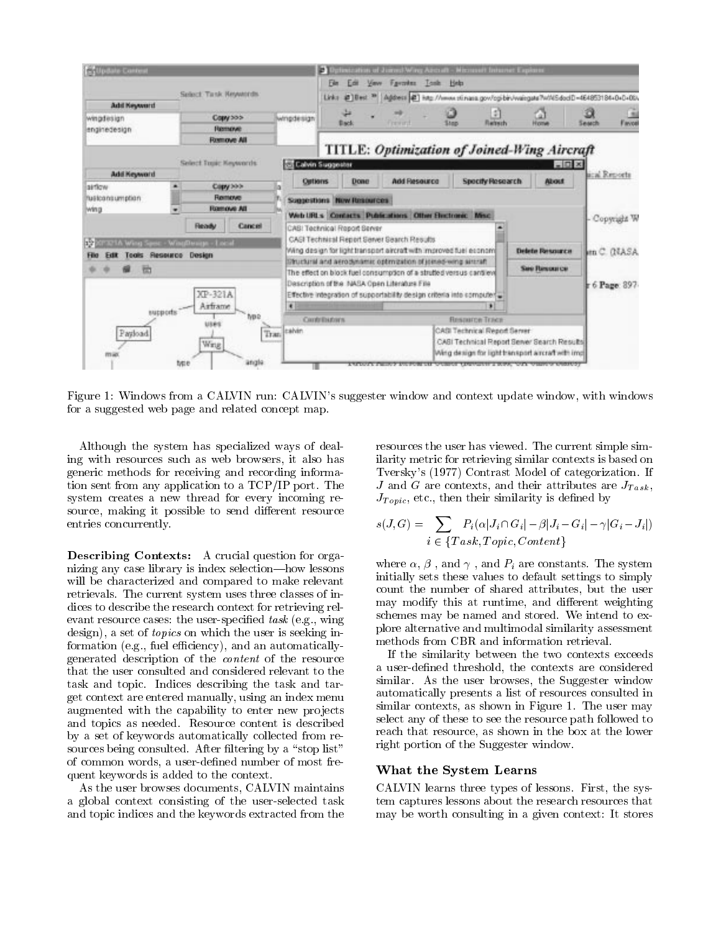

Figure 1: Windows from a CALVIN run: CALVIN's suggester window and context update window, with windows for a suggested web page and related concept map.

Although the system has specialized ways of dealing with resources such as web browsers, it also has generic methods for receiving and recording information sent from any application to a TCP/IP port. The system creates a new thread for every incoming resource, making it possible to send different resource entries concurrently.

Describing Contexts: A crucial question for organizing any case library is index selection—how lessons will be characterized and compared to make relevant retrievals. The current system uses three classes of indices to describe the research context for retrieving relevant resource cases: the user-specified task (e.g., wing design), a set of *topics* on which the user is seeking information (e.g., fuel efficiency), and an automaticallygenerated description of the content of the resource that the user consulted and considered relevant to the task and topic. Indices describing the task and target context are entered manually, using an index menu augmented with the capability to enter new projects and topics as needed. Resource content is described by a set of keywords automatically collected from resources being consulted. After filtering by a "stop list" of common words, a user-defined number of most frequent keywords is added to the context.

As the user browses documents, CALVIN maintains a global context consisting of the user-selected task and topic indices and the keywords extracted from the

resources the user has viewed. The current simple similarity metric for retrieving similar contexts is based on Tversky's (1977) Contrast Model of categorization. If J and G are contexts, and their attributes are  $J_{Task}$ ,  $J_{Topic}$ , etc., then their similarity is defined by

$$
s(J, G) = \sum_{i \in \{Task, Topic, Content\}} P_i(\alpha | J_i \cap G_i | - \beta | J_i - G_i | - \gamma | G_i - J_i |)
$$

where  $\alpha$ ,  $\beta$ , and  $\gamma$ , and  $P_i$  are constants. The system initially sets these values to default settings to simply count the number of shared attributes, but the user may modify this at runtime, and different weighting schemes may be named and stored. We intend to explore alternative and multimodal similarity assessment methods from CBR and information retrieval.

If the similarity between the two contexts exceeds a user-defined threshold, the contexts are considered similar. As the user browses, the Suggester window automatically presents a list of resources consulted in similar contexts, as shown in Figure 1. The user may select any of these to see the resource path followed to reach that resource, as shown in the box at the lower right portion of the Suggester window.

#### What the System Learns

CALVIN learns three types of lessons. First, the system captures lessons about the research resources that may be worth consulting in a given context: It stores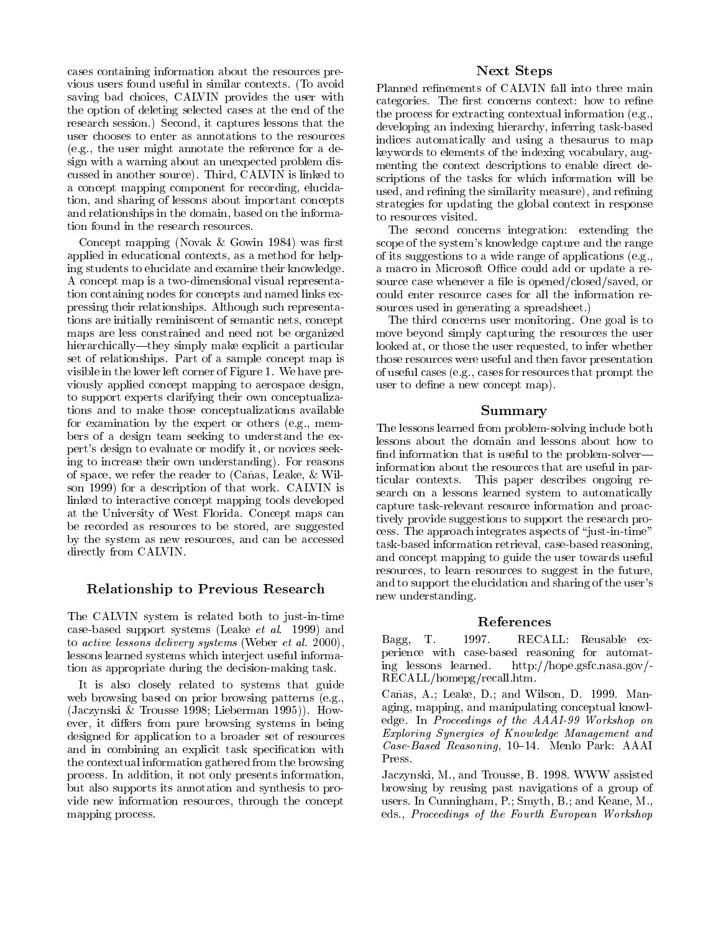cases containing information about the resources previous users found useful in similar contexts. (To avoid saving bad choices, CALVIN provides the user with the option of deleting selected cases at the end of the research session.) Second, it captures lessons that the user chooses to enter as annotations to the resources (e.g., the user might annotate the reference for a design with a warning about an unexpected problem discussed in another source). Third, CALVIN is linked to a concept mapping component for recording, elucidation, and sharing of lessons about important concepts and relationships in the domain, based on the information found in the research resources.

Concept mapping (Novak  $&$  Gowin 1984) was first applied in educational contexts, as a method for helping students to elucidate and examine their knowledge. A concept map is a two-dimensional visual representation containing nodes for concepts and named links expressing their relationships. Although such representations are initially reminiscent of semantic nets, concept maps are less constrained and need not be organized hierarchically—they simply make explicit a particular set of relationships. Part of a sample concept map is visible in the lower left corner of Figure 1. We have previously applied concept mapping to aerospace design, to support experts clarifying their own conceptualizations and to make those conceptualizations available for examination by the expert or others (e.g., members of a design team seeking to understand the expert's design to evaluate or modify it, or novices seeking to increase their own understanding). For reasons of space, we refer the reader to (Cañas, Leake,  $&$  Wilson 1999) for a description of that work. CALVIN is linked to interactive concept mapping tools developed at the University of West Florida. Concept maps can be recorded as resources to be stored, are suggested by the system as new resources, and can be accessed directly from CALVIN.

## Relationship to Previous Research

The CALVIN system is related both to just-in-time case-based support systems (Leake *et al.* 1999) and<br>to active lessons delivery systems (Weber et al. 2000) Bagg, T. to active lessons delivery systems (Weber et al. 2000), lessons learned systems which interject useful information as appropriate during the decision-making task.

It is also closely related to systems that guide web browsing based on prior browsing patterns (e.g., (Jaczynski & Trousse 1998; Lieberman 1995)). How ever, it differs from pure browsing systems in being designed for application to a broader set of resources and in combining an explicit task specification with  $\frac{Case-1}{Case-1}$ the contextual information gathered from the browsing process. In addition, it not only presents information, but also supports its annotation and synthesis to provide new information resources, through the concept mapping process.

## Next Steps

Planned refinements of CALVIN fall into three main categories. The first concerns context: how to refine the process for extracting contextual information (e.g., developing an indexing hierarchy, inferring task-based indices automatically and using a thesaurus to map keywords to elements of the indexing vocabulary, augmenting the context descriptions to enable direct descriptions of the tasks for which information will be used, and refining the similarity measure), and refining strategies for updating the global context in response to resources visited.

The second concerns integration: extending the scope of the system's knowledge capture and the range of its suggestions to a wide range of applications (e.g., a macro in Microsoft Office could add or update a resource case whenever a file is opened/closed/saved, or could enter resource cases for all the information resources used in generating a spreadsheet.)

The third concerns user monitoring. One goal is to move beyond simply capturing the resources the user looked at, or those the user requested, to infer whether those resources were useful and then favor presentation of useful cases (e.g., cases for resources that prompt the user to define a new concept map).

### Summary

The lessons learned from problem-solving include both lessons about the domain and lessons about how to find information that is useful to the problem-solver information about the resources that are useful in particular contexts. This paper describes ongoing research on a lessons learned system to automatically capture task-relevant resource information and proactively provide suggestions to support the research process. The approach integrates aspects of \just-in-time" task-based information retrieval, case-based reasoning, and concept mapping to guide the user towards useful resources, to learn resources to suggest in the future, and to support the elucidation and sharing of the user's new understanding.

#### References

1997. RECALL: Reusable experience with case-based reasoning for automating lessons learned. http://hope.gsfc.nasa.gov/- RECALL/homepg/recall.htm.

Cañas, A.; Leake, D.; and Wilson, D. 1999. Managing, mapping, and manipulating conceptual knowledge. In Proceedings of the AAAI-99 Workshop on Exploring Synergies of Knowledge Management and Case-Based Reasoning, 10-14. Menlo Park: AAAI

Jaczynski, M., and Trousse, B. 1998. WWW assisted browsing by reusing past navigations of a group of users. In Cunningham, P.; Smyth, B.; and Keane, M., eds., Proceedings of the Fourth European Workshop